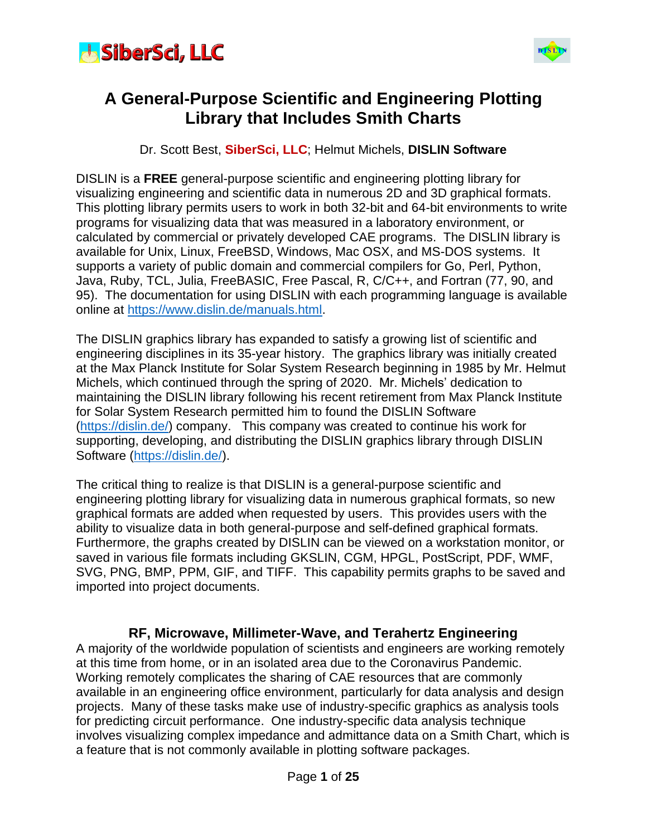



#### **A General-Purpose Scientific and Engineering Plotting Library that Includes Smith Charts**

Dr. Scott Best, **SiberSci, LLC**; Helmut Michels, **DISLIN Software**

DISLIN is a **FREE** general-purpose scientific and engineering plotting library for visualizing engineering and scientific data in numerous 2D and 3D graphical formats. This plotting library permits users to work in both 32-bit and 64-bit environments to write programs for visualizing data that was measured in a laboratory environment, or calculated by commercial or privately developed CAE programs. The DISLIN library is available for Unix, Linux, FreeBSD, Windows, Mac OSX, and MS-DOS systems. It supports a variety of public domain and commercial compilers for Go, Perl, Python, Java, Ruby, TCL, Julia, FreeBASIC, Free Pascal, R, C/C++, and Fortran (77, 90, and 95). The documentation for using DISLIN with each programming language is available online at [https://www.dislin.de/manuals.html.](https://www.dislin.de/manuals.html)

The DISLIN graphics library has expanded to satisfy a growing list of scientific and engineering disciplines in its 35-year history. The graphics library was initially created at the Max Planck Institute for Solar System Research beginning in 1985 by Mr. Helmut Michels, which continued through the spring of 2020. Mr. Michels' dedication to maintaining the DISLIN library following his recent retirement from Max Planck Institute for Solar System Research permitted him to found the DISLIN Software [\(https://dislin.de/\)](https://dislin.de/) company. This company was created to continue his work for supporting, developing, and distributing the DISLIN graphics library through DISLIN Software [\(https://dislin.de/\)](https://dislin.de/).

The critical thing to realize is that DISLIN is a general-purpose scientific and engineering plotting library for visualizing data in numerous graphical formats, so new graphical formats are added when requested by users. This provides users with the ability to visualize data in both general-purpose and self-defined graphical formats. Furthermore, the graphs created by DISLIN can be viewed on a workstation monitor, or saved in various file formats including GKSLIN, CGM, HPGL, PostScript, PDF, WMF, SVG, PNG, BMP, PPM, GIF, and TIFF. This capability permits graphs to be saved and imported into project documents.

#### **RF, Microwave, Millimeter-Wave, and Terahertz Engineering**

A majority of the worldwide population of scientists and engineers are working remotely at this time from home, or in an isolated area due to the Coronavirus Pandemic. Working remotely complicates the sharing of CAE resources that are commonly available in an engineering office environment, particularly for data analysis and design projects. Many of these tasks make use of industry-specific graphics as analysis tools for predicting circuit performance. One industry-specific data analysis technique involves visualizing complex impedance and admittance data on a Smith Chart, which is a feature that is not commonly available in plotting software packages.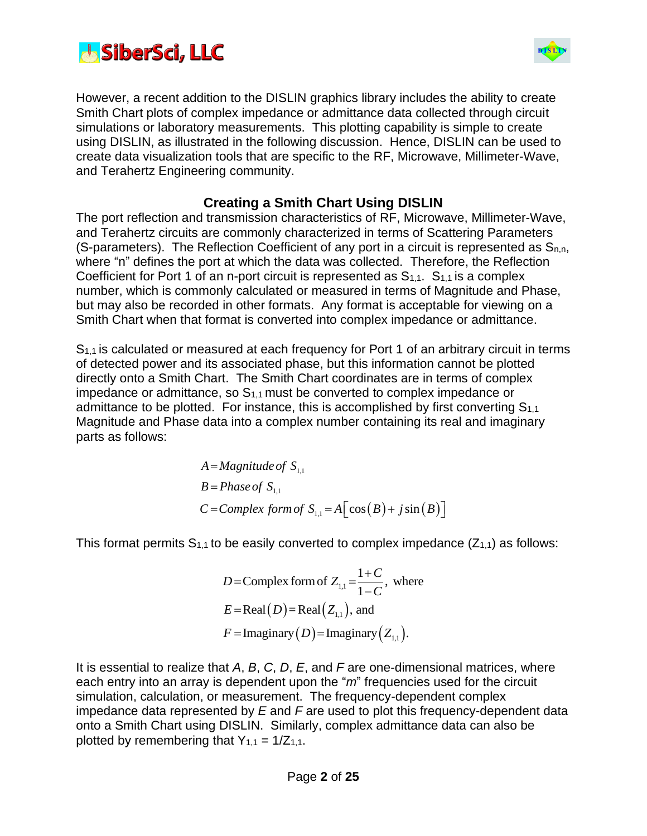



However, a recent addition to the DISLIN graphics library includes the ability to create Smith Chart plots of complex impedance or admittance data collected through circuit simulations or laboratory measurements. This plotting capability is simple to create using DISLIN, as illustrated in the following discussion. Hence, DISLIN can be used to create data visualization tools that are specific to the RF, Microwave, Millimeter-Wave, and Terahertz Engineering community.

#### **Creating a Smith Chart Using DISLIN**

The port reflection and transmission characteristics of RF, Microwave, Millimeter-Wave, and Terahertz circuits are commonly characterized in terms of Scattering Parameters (S-parameters). The Reflection Coefficient of any port in a circuit is represented as  $S_{n,n}$ , where "n" defines the port at which the data was collected. Therefore, the Reflection Coefficient for Port 1 of an n-port circuit is represented as  $S_{1,1}$ .  $S_{1,1}$  is a complex number, which is commonly calculated or measured in terms of Magnitude and Phase, but may also be recorded in other formats. Any format is acceptable for viewing on a Smith Chart when that format is converted into complex impedance or admittance.

S1,1 is calculated or measured at each frequency for Port 1 of an arbitrary circuit in terms of detected power and its associated phase, but this information cannot be plotted directly onto a Smith Chart. The Smith Chart coordinates are in terms of complex impedance or admittance, so  $S<sub>1,1</sub>$  must be converted to complex impedance or admittance to be plotted. For instance, this is accomplished by first converting  $S_{1,1}$ Magnitude and Phase data into a complex number containing its real and imaginary parts as follows:

$$
A = Magnitude of S1,1
$$
  
\n
$$
B = Phase of S1,1
$$
  
\n
$$
C = Complex form of S1,1 = A \Big[ cos(B) + j sin(B) \Big]
$$

This format permits  $S_{1,1}$  to be easily converted to complex impedance  $(Z_{1,1})$  as follows:

$$
D = \text{Complex form of } Z_{1,1} = \frac{1+C}{1-C}, \text{ where}
$$
\n
$$
E = \text{Real}(D) = \text{Real}(Z_{1,1}), \text{ and}
$$
\n
$$
F = \text{Imaginary}(D) = \text{Imaginary}(Z_{1,1}).
$$

It is essential to realize that *A*, *B*, *C*, *D*, *E*, and *F* are one-dimensional matrices, where each entry into an array is dependent upon the "*m*" frequencies used for the circuit simulation, calculation, or measurement. The frequency-dependent complex impedance data represented by *E* and *F* are used to plot this frequency-dependent data onto a Smith Chart using DISLIN. Similarly, complex admittance data can also be plotted by remembering that  $Y_{1,1} = 1/Z_{1,1}$ .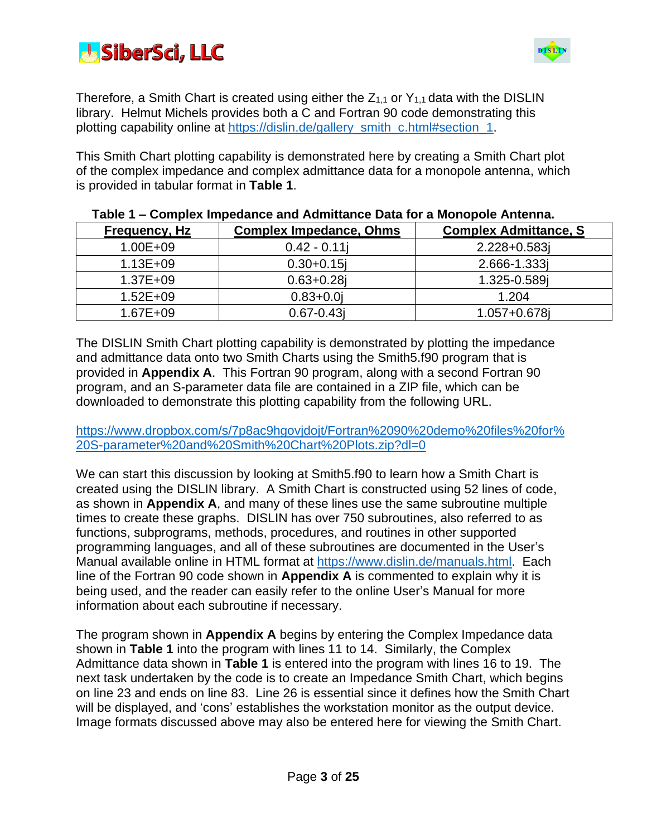



Therefore, a Smith Chart is created using either the  $Z_{1,1}$  or  $Y_{1,1}$  data with the DISLIN library. Helmut Michels provides both a C and Fortran 90 code demonstrating this plotting capability online at [https://dislin.de/gallery\\_smith\\_c.html#section\\_1.](https://dislin.de/gallery_smith_c.html#section_1)

This Smith Chart plotting capability is demonstrated here by creating a Smith Chart plot of the complex impedance and complex admittance data for a monopole antenna, which is provided in tabular format in **Table 1**.

| Frequency, Hz | <b>Complex Impedance, Ohms</b> | <b>Complex Admittance, S</b> |
|---------------|--------------------------------|------------------------------|
| 1.00E+09      | $0.42 - 0.11$                  | 2.228+0.583j                 |
| $1.13E + 09$  | $0.30 + 0.15$                  | 2.666-1.333                  |
| 1.37E+09      | $0.63 + 0.28$                  | 1.325-0.589j                 |
| $1.52E + 09$  | $0.83 + 0.0$                   | 1.204                        |
| 1.67E+09      | $0.67 - 0.43j$                 | $1.057 + 0.678$              |

#### **Table 1 – Complex Impedance and Admittance Data for a Monopole Antenna.**

The DISLIN Smith Chart plotting capability is demonstrated by plotting the impedance and admittance data onto two Smith Charts using the Smith5.f90 program that is provided in **Appendix A**. This Fortran 90 program, along with a second Fortran 90 program, and an S-parameter data file are contained in a ZIP file, which can be downloaded to demonstrate this plotting capability from the following URL.

[https://www.dropbox.com/s/7p8ac9hgovjdojt/Fortran%2090%20demo%20files%20for%](https://www.dropbox.com/s/7p8ac9hgovjdojt/Fortran%2090%20demo%20files%20for%20S-parameter%20and%20Smith%20Chart%20Plots.zip?dl=0) [20S-parameter%20and%20Smith%20Chart%20Plots.zip?dl=0](https://www.dropbox.com/s/7p8ac9hgovjdojt/Fortran%2090%20demo%20files%20for%20S-parameter%20and%20Smith%20Chart%20Plots.zip?dl=0)

We can start this discussion by looking at Smith5.f90 to learn how a Smith Chart is created using the DISLIN library. A Smith Chart is constructed using 52 lines of code, as shown in **Appendix A**, and many of these lines use the same subroutine multiple times to create these graphs. DISLIN has over 750 subroutines, also referred to as functions, subprograms, methods, procedures, and routines in other supported programming languages, and all of these subroutines are documented in the User's Manual available online in HTML format at [https://www.dislin.de/manuals.html.](https://www.dislin.de/manuals.html) Each line of the Fortran 90 code shown in **Appendix A** is commented to explain why it is being used, and the reader can easily refer to the online User's Manual for more information about each subroutine if necessary.

The program shown in **Appendix A** begins by entering the Complex Impedance data shown in **Table 1** into the program with lines 11 to 14. Similarly, the Complex Admittance data shown in **Table 1** is entered into the program with lines 16 to 19. The next task undertaken by the code is to create an Impedance Smith Chart, which begins on line 23 and ends on line 83. Line 26 is essential since it defines how the Smith Chart will be displayed, and 'cons' establishes the workstation monitor as the output device. Image formats discussed above may also be entered here for viewing the Smith Chart.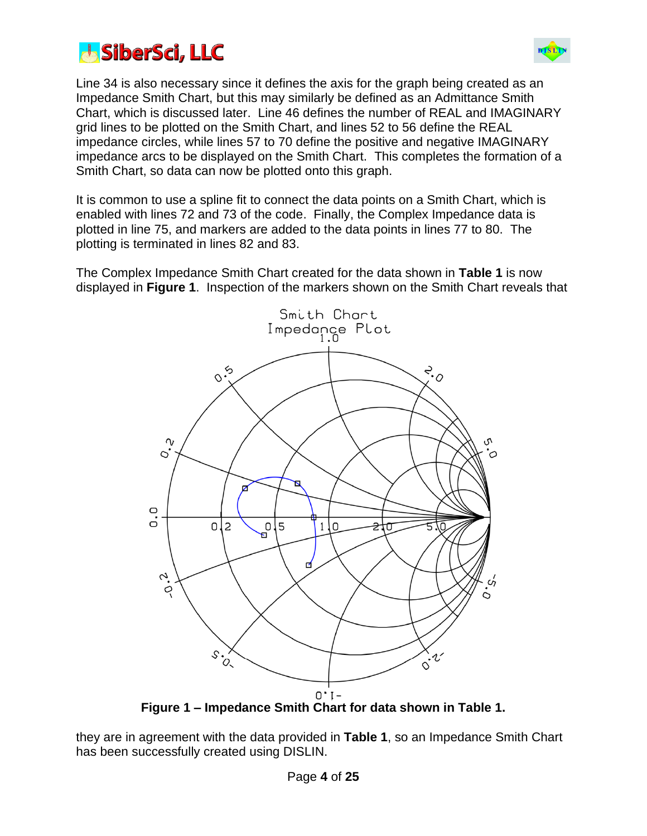



Line 34 is also necessary since it defines the axis for the graph being created as an Impedance Smith Chart, but this may similarly be defined as an Admittance Smith Chart, which is discussed later. Line 46 defines the number of REAL and IMAGINARY grid lines to be plotted on the Smith Chart, and lines 52 to 56 define the REAL impedance circles, while lines 57 to 70 define the positive and negative IMAGINARY impedance arcs to be displayed on the Smith Chart. This completes the formation of a Smith Chart, so data can now be plotted onto this graph.

It is common to use a spline fit to connect the data points on a Smith Chart, which is enabled with lines 72 and 73 of the code. Finally, the Complex Impedance data is plotted in line 75, and markers are added to the data points in lines 77 to 80. The plotting is terminated in lines 82 and 83.

The Complex Impedance Smith Chart created for the data shown in **Table 1** is now displayed in **Figure 1**. Inspection of the markers shown on the Smith Chart reveals that



they are in agreement with the data provided in **Table 1**, so an Impedance Smith Chart has been successfully created using DISLIN.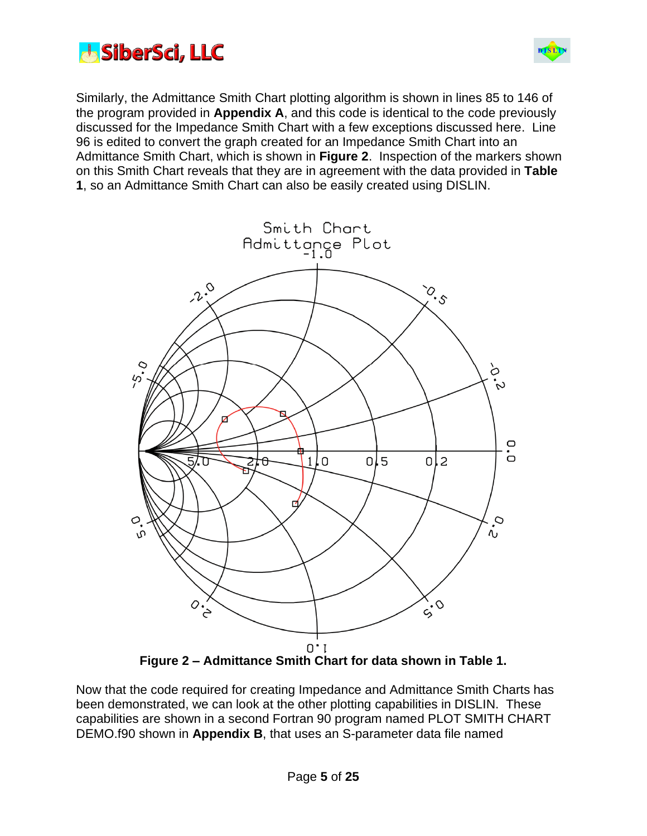



Similarly, the Admittance Smith Chart plotting algorithm is shown in lines 85 to 146 of the program provided in **Appendix A**, and this code is identical to the code previously discussed for the Impedance Smith Chart with a few exceptions discussed here. Line 96 is edited to convert the graph created for an Impedance Smith Chart into an Admittance Smith Chart, which is shown in **Figure 2**. Inspection of the markers shown on this Smith Chart reveals that they are in agreement with the data provided in **Table 1**, so an Admittance Smith Chart can also be easily created using DISLIN.



Now that the code required for creating Impedance and Admittance Smith Charts has been demonstrated, we can look at the other plotting capabilities in DISLIN. These capabilities are shown in a second Fortran 90 program named PLOT SMITH CHART DEMO.f90 shown in **Appendix B**, that uses an S-parameter data file named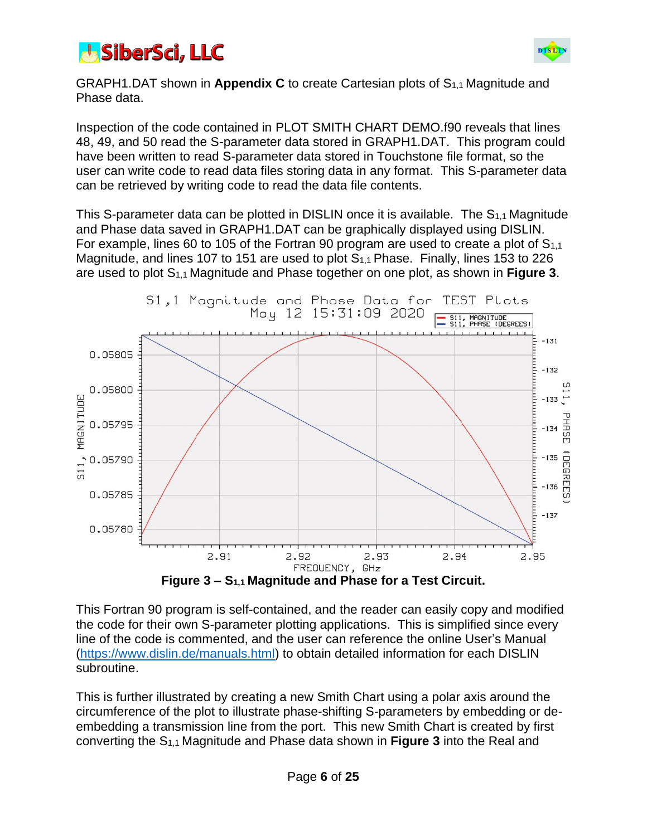



GRAPH1.DAT shown in **Appendix C** to create Cartesian plots of S1,1 Magnitude and Phase data.

Inspection of the code contained in PLOT SMITH CHART DEMO.f90 reveals that lines 48, 49, and 50 read the S-parameter data stored in GRAPH1.DAT. This program could have been written to read S-parameter data stored in Touchstone file format, so the user can write code to read data files storing data in any format. This S-parameter data can be retrieved by writing code to read the data file contents.

This S-parameter data can be plotted in DISLIN once it is available. The  $S_{1,1}$  Magnitude and Phase data saved in GRAPH1.DAT can be graphically displayed using DISLIN. For example, lines 60 to 105 of the Fortran 90 program are used to create a plot of  $S_{1,1}$ Magnitude, and lines 107 to 151 are used to plot S1,1 Phase. Finally, lines 153 to 226 are used to plot S1,1 Magnitude and Phase together on one plot, as shown in **Figure 3**.



This Fortran 90 program is self-contained, and the reader can easily copy and modified the code for their own S-parameter plotting applications. This is simplified since every line of the code is commented, and the user can reference the online User's Manual [\(https://www.dislin.de/manuals.html\)](https://www.dislin.de/manuals.html) to obtain detailed information for each DISLIN subroutine.

This is further illustrated by creating a new Smith Chart using a polar axis around the circumference of the plot to illustrate phase-shifting S-parameters by embedding or deembedding a transmission line from the port. This new Smith Chart is created by first converting the S1,1 Magnitude and Phase data shown in **Figure 3** into the Real and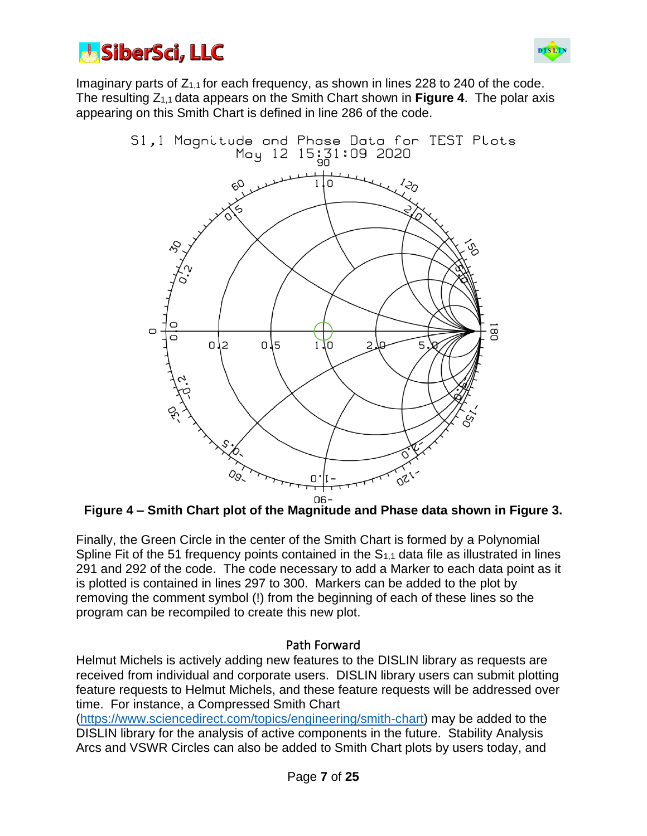



Imaginary parts of  $Z_{1,1}$  for each frequency, as shown in lines 228 to 240 of the code. The resulting Z1,1 data appears on the Smith Chart shown in **Figure 4**. The polar axis appearing on this Smith Chart is defined in line 286 of the code.



**Figure 4 – Smith Chart plot of the Magnitude and Phase data shown in Figure 3.**

Finally, the Green Circle in the center of the Smith Chart is formed by a Polynomial Spline Fit of the 51 frequency points contained in the  $S_{1,1}$  data file as illustrated in lines 291 and 292 of the code. The code necessary to add a Marker to each data point as it is plotted is contained in lines 297 to 300. Markers can be added to the plot by removing the comment symbol (!) from the beginning of each of these lines so the program can be recompiled to create this new plot.

#### Path Forward

Helmut Michels is actively adding new features to the DISLIN library as requests are received from individual and corporate users. DISLIN library users can submit plotting feature requests to Helmut Michels, and these feature requests will be addressed over time. For instance, a Compressed Smith Chart

[\(https://www.sciencedirect.com/topics/engineering/smith-chart\)](https://www.sciencedirect.com/topics/engineering/smith-chart) may be added to the DISLIN library for the analysis of active components in the future. Stability Analysis Arcs and VSWR Circles can also be added to Smith Chart plots by users today, and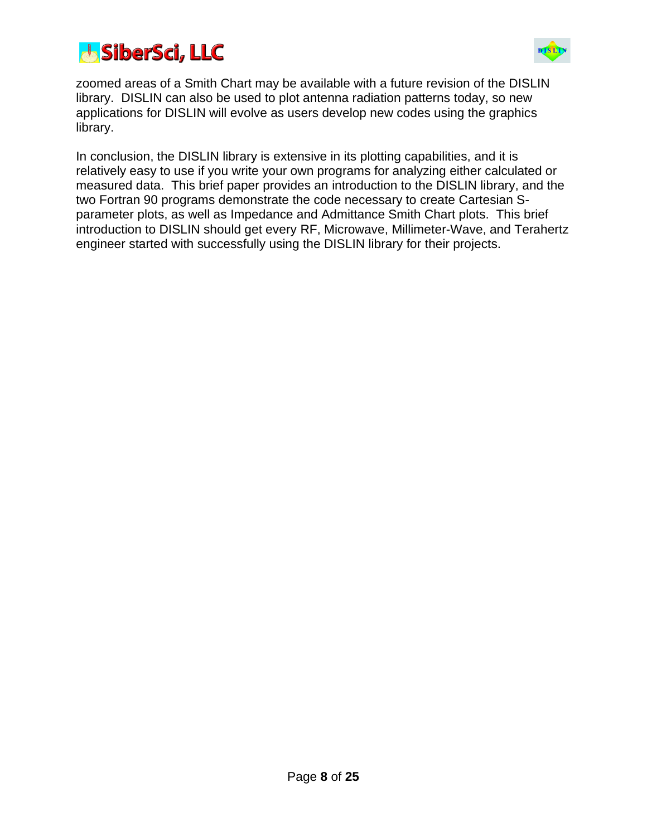



zoomed areas of a Smith Chart may be available with a future revision of the DISLIN library. DISLIN can also be used to plot antenna radiation patterns today, so new applications for DISLIN will evolve as users develop new codes using the graphics library.

In conclusion, the DISLIN library is extensive in its plotting capabilities, and it is relatively easy to use if you write your own programs for analyzing either calculated or measured data. This brief paper provides an introduction to the DISLIN library, and the two Fortran 90 programs demonstrate the code necessary to create Cartesian Sparameter plots, as well as Impedance and Admittance Smith Chart plots. This brief introduction to DISLIN should get every RF, Microwave, Millimeter-Wave, and Terahertz engineer started with successfully using the DISLIN library for their projects.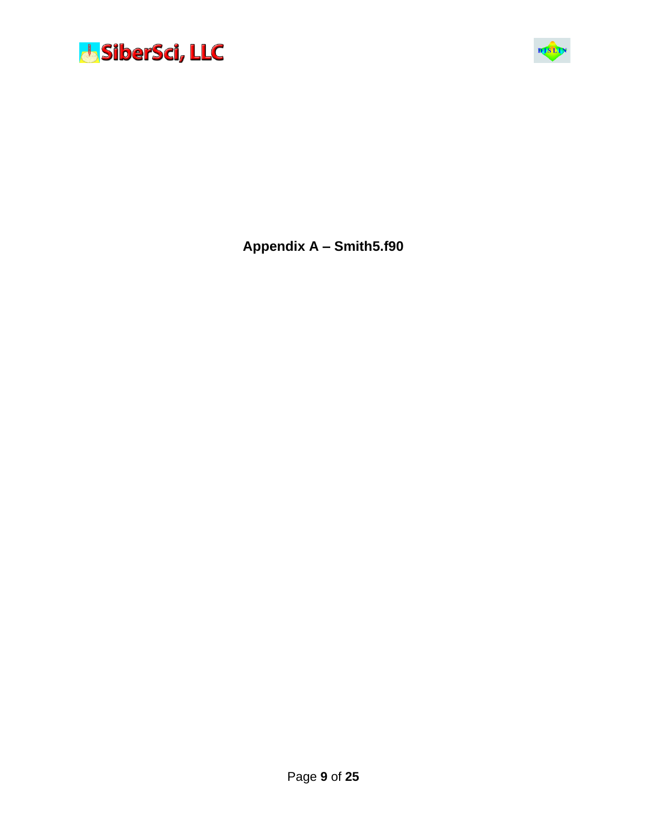



**Appendix A – Smith5.f90**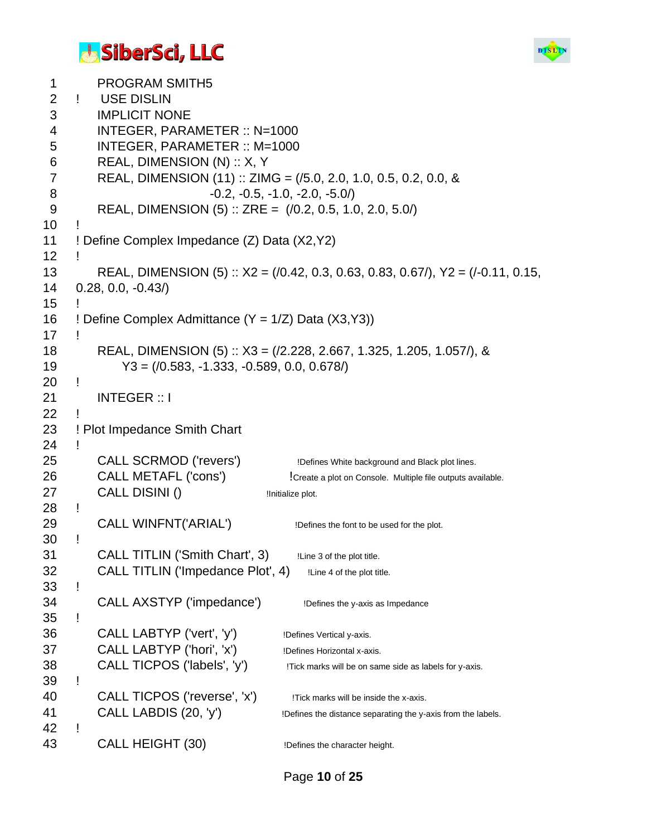#### **J. SiberSci, LLC**



```
1 PROGRAM SMITH5
 2 ! USE DISLIN
 3 IMPLICIT NONE
 4 INTEGER, PARAMETER :: N=1000
 5 INTEGER, PARAMETER :: M=1000
 6 REAL, DIMENSION (N) :: X, Y
 7 REAL, DIMENSION (11) :: ZIMG = (/5.0, 2.0, 1.0, 0.5, 0.2, 0.0, &
 8 -0.2, -0.5, -1.0, -2.0, -5.0/)
 9 REAL, DIMENSION (5) :: ZRE = (/0.2, 0.5, 1.0, 2.0, 5.0/)
10 !
11 ! Define Complex Impedance (Z) Data (X2,Y2)
12 !
13 REAL, DIMENSION (5) :: X2 = (/0.42, 0.3, 0.63, 0.83, 0.67/), Y2 = (/-0.11, 0.15, 
14 0.28, 0.0, -0.43/)
15 !
16 ! Define Complex Admittance (Y = 1/Z) Data (X3,Y3)17 !
18 REAL, DIMENSION (5) :: X3 = (/2.228, 2.667, 1.325, 1.205, 1.057/), &
19 Y3 = (/0.583, -1.333, -0.589, 0.0, 0.678/)
20 !
21 INTEGER :: I
22 !
23 ! Plot Impedance Smith Chart
24 !
25 CALL SCRMOD ('revers') 12 Defines White background and Black plot lines.
26 CALL METAFL ('cons') !Create a plot on Console. Multiple file outputs available.
27 CALL DISINI () Initialize plot.
28 !
29 CALL WINFNT('ARIAL') IDefines the font to be used for the plot.
30 !
31 CALL TITLIN ('Smith Chart', 3) ILine 3 of the plot title.
32 CALL TITLIN ('Impedance Plot', 4) ILine 4 of the plot title.
33 !
34 CALL AXSTYP ('impedance') !Defines the y-axis as Impedance
35 !
36 CALL LABTYP ('vert', 'y') Defines Vertical y-axis.
37 CALL LABTYP ('hori', 'x') Defines Horizontal x-axis.
38 CALL TICPOS ('labels', 'y') !Tick marks will be on same side as labels for y-axis.
39 !
40 CALL TICPOS ('reverse', 'x') !Tick marks will be inside the x-axis.
41 CALL LABDIS (20, 'y') <sup>Defines the distance separating the y-axis from the labels.</sup>
42 !
43 CALL HEIGHT (30) Defines the character height.
```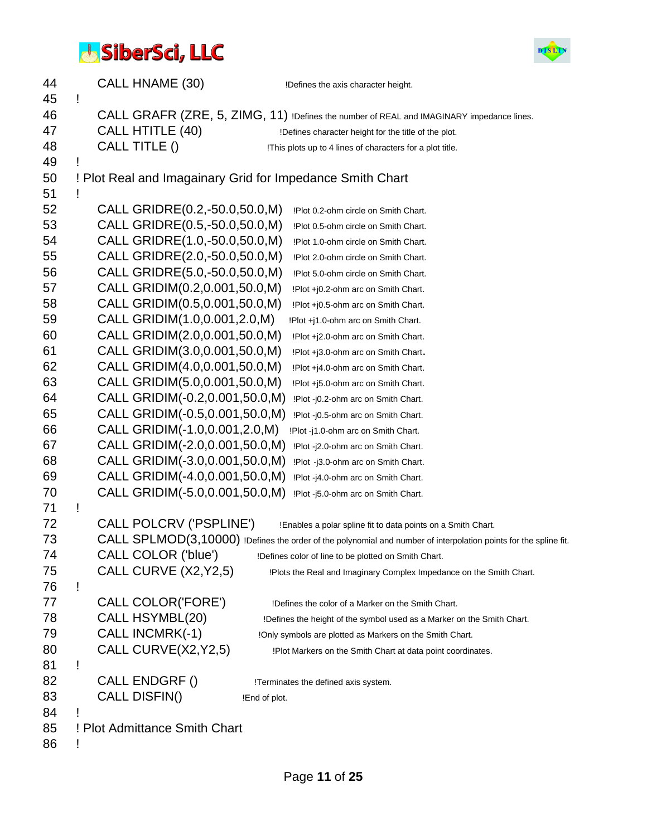

| 44       |   | CALL HNAME (30)                | !Defines the axis character height.                                                                               |
|----------|---|--------------------------------|-------------------------------------------------------------------------------------------------------------------|
| 45<br>46 | Ī |                                | CALL GRAFR (ZRE, 5, ZIMG, 11) !Defines the number of REAL and IMAGINARY impedance lines.                          |
| 47       |   | CALL HTITLE (40)               |                                                                                                                   |
| 48       |   | CALL TITLE ()                  | !Defines character height for the title of the plot.<br>!This plots up to 4 lines of characters for a plot title. |
| 49       |   |                                |                                                                                                                   |
| 50       |   |                                | ! Plot Real and Imagainary Grid for Impedance Smith Chart                                                         |
| 51       |   |                                |                                                                                                                   |
| 52       |   | CALL GRIDRE(0.2,-50.0,50.0,M)  | !Plot 0.2-ohm circle on Smith Chart.                                                                              |
| 53       |   | CALL GRIDRE(0.5,-50.0,50.0,M)  | !Plot 0.5-ohm circle on Smith Chart.                                                                              |
| 54       |   | CALL GRIDRE(1.0,-50.0,50.0,M)  | !Plot 1.0-ohm circle on Smith Chart.                                                                              |
| 55       |   | CALL GRIDRE(2.0,-50.0,50.0,M)  | !Plot 2.0-ohm circle on Smith Chart.                                                                              |
| 56       |   | CALL GRIDRE(5.0,-50.0,50.0,M)  | !Plot 5.0-ohm circle on Smith Chart.                                                                              |
| 57       |   | CALL GRIDIM(0.2,0.001,50.0,M)  | !Plot +j0.2-ohm arc on Smith Chart.                                                                               |
| 58       |   | CALL GRIDIM(0.5,0.001,50.0,M)  | !Plot +j0.5-ohm arc on Smith Chart.                                                                               |
| 59       |   | CALL GRIDIM(1.0,0.001,2.0,M)   | !Plot +j1.0-ohm arc on Smith Chart.                                                                               |
| 60       |   | CALL GRIDIM(2.0,0.001,50.0,M)  | !Plot +j2.0-ohm arc on Smith Chart.                                                                               |
| 61       |   | CALL GRIDIM(3.0,0.001,50.0,M)  | !Plot +j3.0-ohm arc on Smith Chart.                                                                               |
| 62       |   | CALL GRIDIM(4.0,0.001,50.0,M)  | !Plot +j4.0-ohm arc on Smith Chart.                                                                               |
| 63       |   | CALL GRIDIM(5.0,0.001,50.0,M)  | !Plot +j5.0-ohm arc on Smith Chart.                                                                               |
| 64       |   | CALL GRIDIM(-0.2,0.001,50.0,M) | !Plot -j0.2-ohm arc on Smith Chart.                                                                               |
| 65       |   | CALL GRIDIM(-0.5,0.001,50.0,M) | !Plot -j0.5-ohm arc on Smith Chart.                                                                               |
| 66       |   | CALL GRIDIM(-1.0,0.001,2.0,M)  | !Plot -j1.0-ohm arc on Smith Chart.                                                                               |
| 67       |   | CALL GRIDIM(-2.0,0.001,50.0,M) | !Plot -j2.0-ohm arc on Smith Chart.                                                                               |
| 68       |   | CALL GRIDIM(-3.0,0.001,50.0,M) | !Plot -j3.0-ohm arc on Smith Chart.                                                                               |
| 69       |   | CALL GRIDIM(-4.0,0.001,50.0,M) | !Plot -j4.0-ohm arc on Smith Chart.                                                                               |
| 70       |   | CALL GRIDIM(-5.0,0.001,50.0,M) | !Plot -j5.0-ohm arc on Smith Chart.                                                                               |
| 71       | Ţ |                                |                                                                                                                   |
| 72       |   | CALL POLCRV ('PSPLINE')        | !Enables a polar spline fit to data points on a Smith Chart.                                                      |
| 73       |   |                                | CALL SPLMOD(3,10000) !Defines the order of the polynomial and number of interpolation points for the spline fit.  |
| 74       |   | CALL COLOR ('blue')            | !Defines color of line to be plotted on Smith Chart.                                                              |
| 75       |   | CALL CURVE (X2, Y2, 5)         | !Plots the Real and Imaginary Complex Impedance on the Smith Chart.                                               |
| 76       | ī |                                |                                                                                                                   |
| 77       |   | CALL COLOR('FORE')             | !Defines the color of a Marker on the Smith Chart.                                                                |
| 78       |   | CALL HSYMBL(20)                | !Defines the height of the symbol used as a Marker on the Smith Chart.                                            |
| 79       |   | CALL INCMRK(-1)                | !Only symbols are plotted as Markers on the Smith Chart.                                                          |
| 80       |   | CALL CURVE(X2, Y2, 5)          | !Plot Markers on the Smith Chart at data point coordinates.                                                       |
| 81       | Ţ |                                |                                                                                                                   |
| 82       |   | CALL ENDGRF()                  | !Terminates the defined axis system.                                                                              |
| 83       |   | CALL DISFIN()                  | !End of plot.                                                                                                     |
| 84       |   |                                |                                                                                                                   |
| 85       |   | ! Plot Admittance Smith Chart  |                                                                                                                   |
| 86       |   |                                |                                                                                                                   |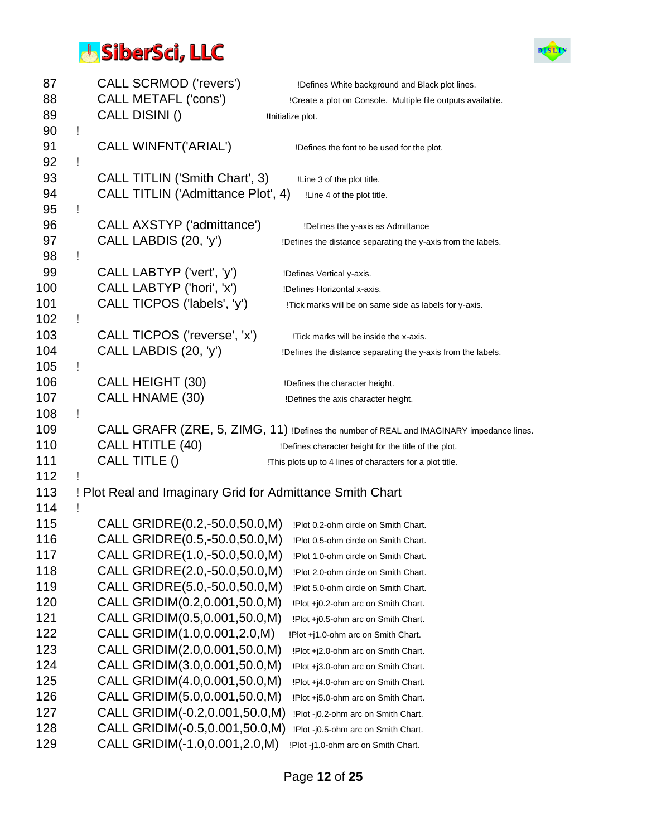

| 87  |   | <b>CALL SCRMOD ('revers')</b>                             | !Defines White background and Black plot lines.                                          |
|-----|---|-----------------------------------------------------------|------------------------------------------------------------------------------------------|
| 88  |   | CALL METAFL ('cons')                                      | !Create a plot on Console. Multiple file outputs available.                              |
| 89  |   | CALL DISINI()                                             | !Initialize plot.                                                                        |
| 90  | Ţ |                                                           |                                                                                          |
| 91  |   | <b>CALL WINFNT('ARIAL')</b>                               | !Defines the font to be used for the plot.                                               |
| 92  | Ţ |                                                           |                                                                                          |
| 93  |   | CALL TITLIN ('Smith Chart', 3)                            | !Line 3 of the plot title.                                                               |
| 94  |   | CALL TITLIN ('Admittance Plot', 4)                        | !Line 4 of the plot title.                                                               |
| 95  | Ţ |                                                           |                                                                                          |
| 96  |   | CALL AXSTYP ('admittance')                                | !Defines the y-axis as Admittance                                                        |
| 97  |   | CALL LABDIS (20, 'y')                                     | !Defines the distance separating the y-axis from the labels.                             |
| 98  | Ţ |                                                           |                                                                                          |
| 99  |   | CALL LABTYP ('vert', 'y')                                 | !Defines Vertical y-axis.                                                                |
| 100 |   | CALL LABTYP ('hori', 'x')                                 | !Defines Horizontal x-axis.                                                              |
| 101 |   | CALL TICPOS ('labels', 'y')                               | !Tick marks will be on same side as labels for y-axis.                                   |
| 102 | Ţ |                                                           |                                                                                          |
| 103 |   | CALL TICPOS ('reverse', 'x')                              | !Tick marks will be inside the x-axis.                                                   |
| 104 |   | CALL LABDIS (20, 'y')                                     |                                                                                          |
| 105 | Ţ |                                                           | !Defines the distance separating the y-axis from the labels.                             |
| 106 |   | <b>CALL HEIGHT (30)</b>                                   |                                                                                          |
| 107 |   | CALL HNAME (30)                                           | !Defines the character height.                                                           |
| 108 | Ţ |                                                           | !Defines the axis character height.                                                      |
| 109 |   |                                                           | CALL GRAFR (ZRE, 5, ZIMG, 11) !Defines the number of REAL and IMAGINARY impedance lines. |
| 110 |   | CALL HTITLE (40)                                          |                                                                                          |
| 111 |   | CALL TITLE ()                                             | !Defines character height for the title of the plot.                                     |
|     |   |                                                           | !This plots up to 4 lines of characters for a plot title.                                |
| 112 |   |                                                           |                                                                                          |
| 113 |   | ! Plot Real and Imaginary Grid for Admittance Smith Chart |                                                                                          |
| 114 | Ţ |                                                           |                                                                                          |
| 115 |   | CALL GRIDRE(0.2,-50.0,50.0,M)                             | !Plot 0.2-ohm circle on Smith Chart.                                                     |
| 116 |   | CALL GRIDRE(0.5,-50.0,50.0,M)                             | !Plot 0.5-ohm circle on Smith Chart.                                                     |
| 117 |   | CALL GRIDRE(1.0,-50.0,50.0,M)                             | !Plot 1.0-ohm circle on Smith Chart.                                                     |
| 118 |   | CALL GRIDRE(2.0,-50.0,50.0,M)                             | !Plot 2.0-ohm circle on Smith Chart.                                                     |
| 119 |   | CALL GRIDRE(5.0,-50.0,50.0,M)                             | !Plot 5.0-ohm circle on Smith Chart.                                                     |
| 120 |   | CALL GRIDIM(0.2,0.001,50.0,M)                             | !Plot +j0.2-ohm arc on Smith Chart.                                                      |
| 121 |   | CALL GRIDIM(0.5,0.001,50.0,M)                             | !Plot +j0.5-ohm arc on Smith Chart.                                                      |
| 122 |   | CALL GRIDIM(1.0,0.001,2.0,M)                              | !Plot +j1.0-ohm arc on Smith Chart.                                                      |
| 123 |   | CALL GRIDIM(2.0,0.001,50.0,M)                             | !Plot +j2.0-ohm arc on Smith Chart.                                                      |
| 124 |   | CALL GRIDIM(3.0,0.001,50.0,M)                             | !Plot +j3.0-ohm arc on Smith Chart.                                                      |
| 125 |   | CALL GRIDIM(4.0,0.001,50.0,M)                             | !Plot +j4.0-ohm arc on Smith Chart.                                                      |
| 126 |   | CALL GRIDIM(5.0,0.001,50.0,M)                             | !Plot +j5.0-ohm arc on Smith Chart.                                                      |
| 127 |   | CALL GRIDIM(-0.2,0.001,50.0,M)                            | !Plot -j0.2-ohm arc on Smith Chart.                                                      |
| 128 |   | CALL GRIDIM(-0.5,0.001,50.0,M)                            | !Plot -j0.5-ohm arc on Smith Chart.                                                      |
| 129 |   | CALL GRIDIM(-1.0,0.001,2.0,M)                             | !Plot -j1.0-ohm arc on Smith Chart.                                                      |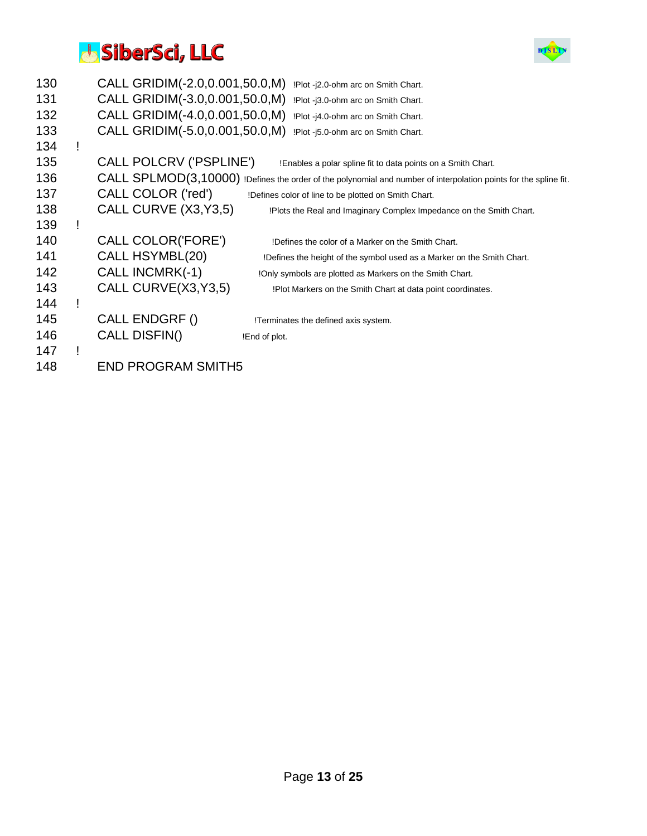

| 130 | CALL GRIDIM(-2.0,0.001,50.0,M) | !Plot -j2.0-ohm arc on Smith Chart.                                                                              |
|-----|--------------------------------|------------------------------------------------------------------------------------------------------------------|
| 131 | CALL GRIDIM(-3.0,0.001,50.0,M) | !Plot -j3.0-ohm arc on Smith Chart.                                                                              |
| 132 | CALL GRIDIM(-4.0,0.001,50.0,M) | !Plot -j4.0-ohm arc on Smith Chart.                                                                              |
| 133 | CALL GRIDIM(-5.0,0.001,50.0,M) | !Plot -j5.0-ohm arc on Smith Chart.                                                                              |
| 134 |                                |                                                                                                                  |
| 135 | CALL POLCRV ('PSPLINE')        | !Enables a polar spline fit to data points on a Smith Chart.                                                     |
| 136 |                                | CALL SPLMOD(3,10000) !Defines the order of the polynomial and number of interpolation points for the spline fit. |
| 137 | CALL COLOR ('red')             | !Defines color of line to be plotted on Smith Chart.                                                             |
| 138 | CALL CURVE (X3, Y3, 5)         | !Plots the Real and Imaginary Complex Impedance on the Smith Chart.                                              |
| 139 |                                |                                                                                                                  |
| 140 | CALL COLOR('FORE')             | !Defines the color of a Marker on the Smith Chart.                                                               |
| 141 | CALL HSYMBL(20)                | !Defines the height of the symbol used as a Marker on the Smith Chart.                                           |
| 142 | <b>CALL INCMRK(-1)</b>         | !Only symbols are plotted as Markers on the Smith Chart.                                                         |
| 143 | CALL CURVE(X3, Y3, 5)          | !Plot Markers on the Smith Chart at data point coordinates.                                                      |
| 144 |                                |                                                                                                                  |
| 145 | CALL ENDGRF()                  | !Terminates the defined axis system.                                                                             |
| 146 | CALL DISFIN()                  | !End of plot.                                                                                                    |
| 147 |                                |                                                                                                                  |
| 148 | <b>END PROGRAM SMITH5</b>      |                                                                                                                  |
|     |                                |                                                                                                                  |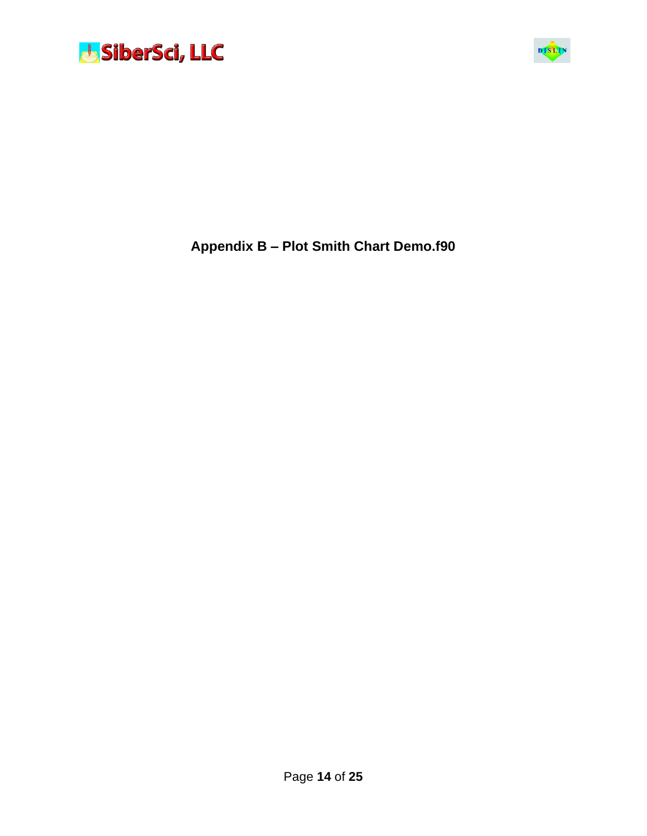



**Appendix B – Plot Smith Chart Demo.f90**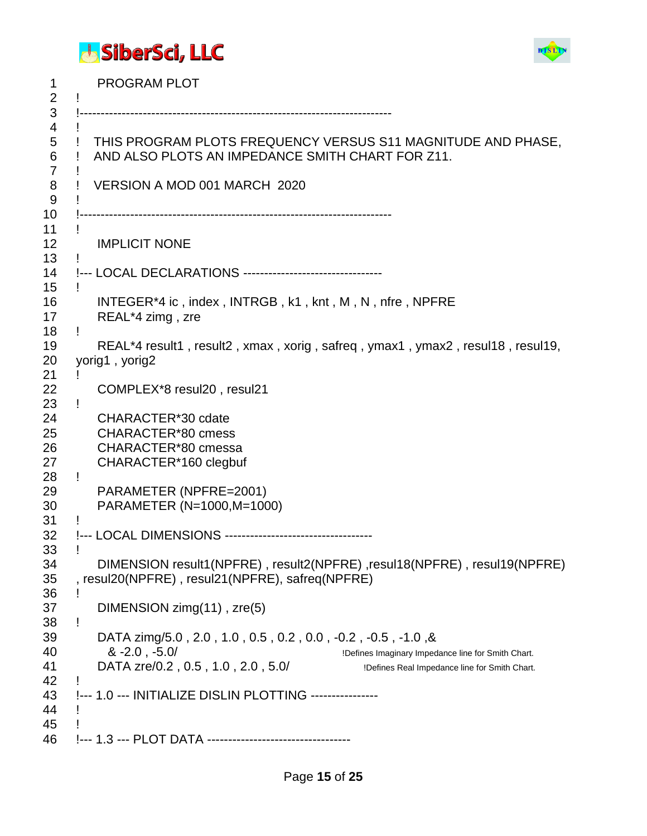



1 PROGRAM PLOT ! !--------------------------------------------------------------------------  $\overline{4}$  ! THIS PROGRAM PLOTS FREQUENCY VERSUS S11 MAGNITUDE AND PHASE, ! AND ALSO PLOTS AN IMPEDANCE SMITH CHART FOR Z11. ! ! VERSION A MOD 001 MARCH 2020 ! !-------------------------------------------------------------------------- ! 12 IMPLICIT NONE ! !--- LOCAL DECLARATIONS --------------------------------- ! 16 INTEGER\*4 ic , index , INTRGB , k1 , knt , M , N , nfre , NPFRE 17 REAL\*4 zimg , zre ! 19 REAL\*4 result1 , result2 , xmax , xorig , safreq , ymax1 , ymax2 , resul18 , resul19, yorig1 , yorig2 ! 22 COMPLEX\*8 resul20 , resul21 ! 24 CHARACTER\*30 cdate 25 CHARACTER\*80 cmess 26 CHARACTER\*80 cmessa 27 CHARACTER\*160 clegbuf ! 29 PARAMETER (NPFRE=2001) 30 PARAMETER (N=1000,M=1000) ! !--- LOCAL DIMENSIONS ----------------------------------- ! 34 DIMENSION result1(NPFRE) , result2(NPFRE) ,resul18(NPFRE) , resul19(NPFRE) , resul20(NPFRE) , resul21(NPFRE), safreq(NPFRE) ! 37 DIMENSION zimg(11) , zre(5) ! 39 DATA zimg/5.0 , 2.0 , 1.0 , 0.5 , 0.2 , 0.0 , -0.2 , -0.5 , -1.0 ,& **8.** -2.0, -5.0/ **19. In the state of the state of Smith Chart.** IDefines Imaginary Impedance line for Smith Chart. 41 DATA zre/0.2, 0.5, 1.0, 2.0, 5.0/ Defines Real Impedance line for Smith Chart. ! !--- 1.0 --- INITIALIZE DISLIN PLOTTING ---------------- ! ! !--- 1.3 --- PLOT DATA ----------------------------------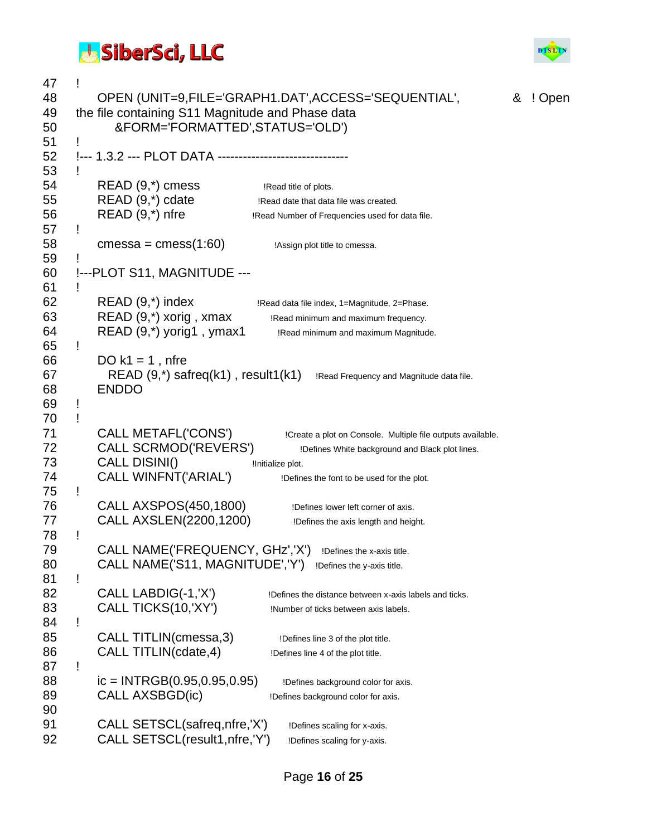

| 47<br>48<br>49<br>50 |   | the file containing S11 Magnitude and Phase data<br>&FORM='FORMATTED',STATUS='OLD') | OPEN (UNIT=9,FILE='GRAPH1.DAT',ACCESS='SEQUENTIAL',                                         | ଝ | ! Open |
|----------------------|---|-------------------------------------------------------------------------------------|---------------------------------------------------------------------------------------------|---|--------|
| 51<br>52             |   | !--- 1.3.2 --- PLOT DATA -----------------------------                              |                                                                                             |   |        |
| 53                   |   |                                                                                     |                                                                                             |   |        |
| 54                   |   | $READ(9,*)$ cmess                                                                   | !Read title of plots.                                                                       |   |        |
| 55                   |   | $READ(9,*)$ cdate                                                                   | !Read date that data file was created.                                                      |   |        |
| 56                   |   | READ (9,*) nfre                                                                     | !Read Number of Frequencies used for data file.                                             |   |        |
| 57<br>58             | Ţ | cmessa = $cmess(1:60)$                                                              | !Assign plot title to cmessa.                                                               |   |        |
| 59                   |   |                                                                                     |                                                                                             |   |        |
| 60                   |   | !--- PLOT S11, MAGNITUDE ---                                                        |                                                                                             |   |        |
| 61                   |   |                                                                                     |                                                                                             |   |        |
| 62                   |   | $READ(9,*)$ index                                                                   | !Read data file index, 1=Magnitude, 2=Phase.                                                |   |        |
| 63                   |   | READ (9,*) xorig, xmax                                                              | !Read minimum and maximum frequency.                                                        |   |        |
| 64                   |   | $READ(9,*)$ yorig1, ymax1                                                           | !Read minimum and maximum Magnitude.                                                        |   |        |
| 65                   | Ţ |                                                                                     |                                                                                             |   |        |
| 66                   |   | DO $k1 = 1$ , nfre                                                                  |                                                                                             |   |        |
| 67                   |   |                                                                                     | $READ(9,*)$ safreq(k1), result1(k1) $\blacksquare$ IRead Frequency and Magnitude data file. |   |        |
| 68                   |   | <b>ENDDO</b>                                                                        |                                                                                             |   |        |
| 69                   | Ţ |                                                                                     |                                                                                             |   |        |
| 70                   | Ţ |                                                                                     |                                                                                             |   |        |
| 71                   |   | CALL METAFL('CONS')                                                                 | !Create a plot on Console. Multiple file outputs available.                                 |   |        |
| 72                   |   | CALL SCRMOD('REVERS')                                                               | !Defines White background and Black plot lines.                                             |   |        |
| 73                   |   | CALL DISINI()                                                                       | !Initialize plot.                                                                           |   |        |
| 74                   |   | <b>CALL WINFNT('ARIAL')</b>                                                         | !Defines the font to be used for the plot.                                                  |   |        |
| 75                   | Ţ |                                                                                     |                                                                                             |   |        |
| 76                   |   | CALL AXSPOS(450,1800)                                                               | !Defines lower left corner of axis.                                                         |   |        |
| 77                   |   | CALL AXSLEN(2200,1200)                                                              | !Defines the axis length and height.                                                        |   |        |
| 78                   | Ţ |                                                                                     |                                                                                             |   |        |
| 79                   |   | CALL NAME('FREQUENCY, GHz','X')                                                     | !Defines the x-axis title.                                                                  |   |        |
| 80                   |   | CALL NAME('S11, MAGNITUDE','Y')                                                     | !Defines the y-axis title.                                                                  |   |        |
| 81                   | Ţ |                                                                                     |                                                                                             |   |        |
| 82                   |   | CALL LABDIG(-1, 'X')                                                                | !Defines the distance between x-axis labels and ticks.                                      |   |        |
| 83                   |   | CALL TICKS(10, XY')                                                                 | !Number of ticks between axis labels.                                                       |   |        |
| 84                   | ļ |                                                                                     |                                                                                             |   |        |
| 85                   |   | CALL TITLIN(cmessa, 3)                                                              | !Defines line 3 of the plot title.                                                          |   |        |
| 86                   |   | CALL TITLIN(cdate, 4)                                                               | !Defines line 4 of the plot title.                                                          |   |        |
| 87                   | Ţ |                                                                                     |                                                                                             |   |        |
| 88                   |   | $ic = INTRGB(0.95, 0.95, 0.95)$                                                     | !Defines background color for axis.                                                         |   |        |
| 89                   |   | CALL AXSBGD(ic)                                                                     | !Defines background color for axis.                                                         |   |        |
| 90                   |   |                                                                                     |                                                                                             |   |        |
| 91                   |   | CALL SETSCL(safreq, nfre, 'X')                                                      | !Defines scaling for x-axis.                                                                |   |        |
| 92                   |   | CALL SETSCL(result1, nfre, 'Y')                                                     | !Defines scaling for y-axis.                                                                |   |        |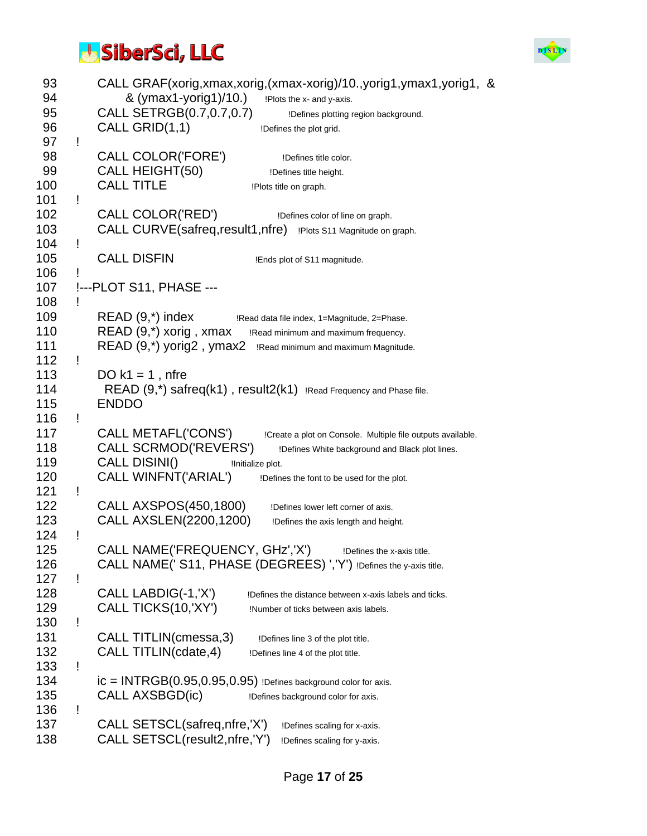

| 93<br>94<br>95<br>96<br>97<br>Ţ | CALL GRAF(xorig,xmax,xorig,(xmax-xorig)/10.,yorig1,ymax1,yorig1, &<br>& (ymax1-yorig1)/10.)<br>!Plots the x- and y-axis.<br>CALL SETRGB(0.7,0.7,0.7)<br>!Defines plotting region background.<br>CALL GRID(1,1)<br>!Defines the plot grid. |
|---------------------------------|-------------------------------------------------------------------------------------------------------------------------------------------------------------------------------------------------------------------------------------------|
| 98<br>99<br>100<br>101<br>Ţ     | <b>CALL COLOR('FORE')</b><br>!Defines title color.<br>CALL HEIGHT(50)<br>!Defines title height.<br><b>CALL TITLE</b><br>!Plots title on graph.                                                                                            |
| 102<br>103<br>104<br>Ţ          | CALL COLOR('RED')<br>!Defines color of line on graph.<br>CALL CURVE(safreq, result1, nfre) !Plots S11 Magnitude on graph.                                                                                                                 |
| 105<br>106<br>Ţ                 | <b>CALL DISFIN</b><br>!Ends plot of S11 magnitude.                                                                                                                                                                                        |
| 107<br>108<br>Ţ                 | !--- PLOT S11, PHASE ---                                                                                                                                                                                                                  |
| 109                             | $READ(9,*)$ index<br>!Read data file index, 1=Magnitude, 2=Phase.                                                                                                                                                                         |
| 110                             | $READ(9,*)$ xorig, xmax Read minimum and maximum frequency.                                                                                                                                                                               |
| 111                             | READ (9,*) yorig2, ymax2<br>!Read minimum and maximum Magnitude.                                                                                                                                                                          |
| 112<br>Ţ                        |                                                                                                                                                                                                                                           |
| 113                             | DO $k1 = 1$ , nfre                                                                                                                                                                                                                        |
| 114<br>115                      | $READ(9,*)$ safreq(k1), result $2(k1)$ !Read Frequency and Phase file.<br><b>ENDDO</b>                                                                                                                                                    |
| 116<br>Ţ                        |                                                                                                                                                                                                                                           |
| 117<br>118                      | CALL METAFL('CONS')<br>!Create a plot on Console. Multiple file outputs available.<br>CALL SCRMOD('REVERS')<br>!Defines White background and Black plot lines.                                                                            |
| 119                             | CALL DISINI()<br>!Initialize plot.                                                                                                                                                                                                        |
| 120<br>121<br>Ţ                 | <b>CALL WINFNT('ARIAL')</b><br>!Defines the font to be used for the plot.                                                                                                                                                                 |
| 122                             | CALL AXSPOS(450,1800)<br>!Defines lower left corner of axis.                                                                                                                                                                              |
| 123                             | CALL AXSLEN(2200,1200)<br>!Defines the axis length and height.                                                                                                                                                                            |
| 124<br>Ţ<br>125                 | CALL NAME('FREQUENCY, GHz','X')                                                                                                                                                                                                           |
|                                 | !Defines the x-axis title.                                                                                                                                                                                                                |
| 126<br>127<br>Ţ                 | CALL NAME(' S11, PHASE (DEGREES) ','Y') !Defines the y-axis title.                                                                                                                                                                        |
| 128                             | CALL LABDIG(-1,'X')                                                                                                                                                                                                                       |
|                                 | !Defines the distance between x-axis labels and ticks.                                                                                                                                                                                    |
| 129                             | CALL TICKS(10, XY')<br>!Number of ticks between axis labels.                                                                                                                                                                              |
| 130<br>Ţ                        |                                                                                                                                                                                                                                           |
| 131                             | CALL TITLIN(cmessa, 3)<br>!Defines line 3 of the plot title.                                                                                                                                                                              |
| 132                             | CALL TITLIN(cdate, 4)<br>!Defines line 4 of the plot title.                                                                                                                                                                               |
| 133<br>Ţ                        |                                                                                                                                                                                                                                           |
| 134                             | $ic = INTRGB(0.95, 0.95, 0.95)$ !Defines background color for axis.                                                                                                                                                                       |
| 135                             | CALL AXSBGD(ic)<br>!Defines background color for axis.                                                                                                                                                                                    |
| 136<br>Ţ                        |                                                                                                                                                                                                                                           |
| 137                             | CALL SETSCL(safreq, nfre, 'X')<br>!Defines scaling for x-axis.                                                                                                                                                                            |
| 138                             | CALL SETSCL(result2,nfre,'Y')<br>!Defines scaling for y-axis.                                                                                                                                                                             |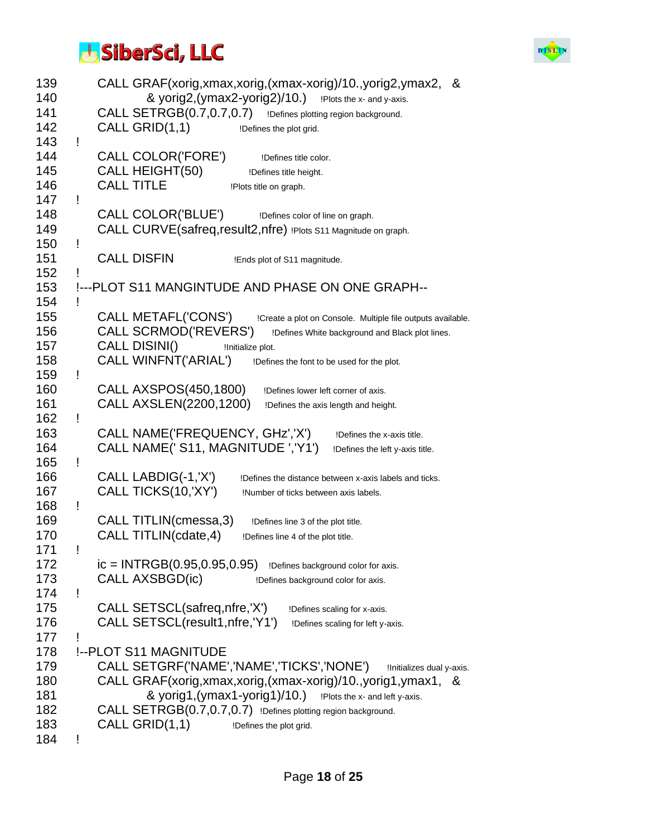

| 139<br>140 | CALL GRAF(xorig,xmax,xorig,(xmax-xorig)/10.,yorig2,ymax2, &<br>& yorig2, (ymax2-yorig2)/10.) !Plots the x- and y-axis. |
|------------|------------------------------------------------------------------------------------------------------------------------|
| 141        | CALL SETRGB(0.7,0.7,0.7)<br>!Defines plotting region background.                                                       |
| 142        | CALL GRID(1,1)                                                                                                         |
|            | !Defines the plot grid.                                                                                                |
| 143        | Ţ                                                                                                                      |
| 144        | <b>CALL COLOR('FORE')</b><br>!Defines title color.                                                                     |
| 145        | CALL HEIGHT(50)<br>!Defines title height.                                                                              |
| 146        | <b>CALL TITLE</b><br>!Plots title on graph.                                                                            |
| 147        | Ţ                                                                                                                      |
| 148        | <b>CALL COLOR('BLUE')</b><br>!Defines color of line on graph.                                                          |
| 149        | CALL CURVE(safreq, result2, nfre) !Plots S11 Magnitude on graph.                                                       |
| 150        | Ţ                                                                                                                      |
| 151        | <b>CALL DISFIN</b>                                                                                                     |
| 152        | !Ends plot of S11 magnitude.                                                                                           |
|            |                                                                                                                        |
| 153        | !--- PLOT S11 MANGINTUDE AND PHASE ON ONE GRAPH--                                                                      |
| 154        | Ţ                                                                                                                      |
| 155        | CALL METAFL('CONS')<br>!Create a plot on Console. Multiple file outputs available.                                     |
| 156        | CALL SCRMOD('REVERS')<br>!Defines White background and Black plot lines.                                               |
| 157        | CALL DISINI()<br>!Initialize plot.                                                                                     |
| 158        | <b>CALL WINFNT('ARIAL')</b><br>!Defines the font to be used for the plot.                                              |
| 159        | Ţ                                                                                                                      |
| 160        | CALL AXSPOS(450,1800)<br>!Defines lower left corner of axis.                                                           |
| 161        | CALL AXSLEN(2200,1200)                                                                                                 |
|            | !Defines the axis length and height.                                                                                   |
| 162        | Ţ                                                                                                                      |
| 163        | CALL NAME('FREQUENCY, GHz','X')<br>!Defines the x-axis title.                                                          |
| 164        | CALL NAME(' S11, MAGNITUDE ','Y1')<br>!Defines the left y-axis title.                                                  |
| 165        | Ţ                                                                                                                      |
| 166        | CALL LABDIG(-1,'X')<br>!Defines the distance between x-axis labels and ticks.                                          |
| 167        | CALL TICKS(10, XY')<br>!Number of ticks between axis labels.                                                           |
| 168        | Ţ                                                                                                                      |
| 169        | CALL TITLIN(cmessa, 3)<br>!Defines line 3 of the plot title.                                                           |
| 170        | CALL TITLIN(cdate, 4)<br>!Defines line 4 of the plot title.                                                            |
| 171        |                                                                                                                        |
|            |                                                                                                                        |
| 172        | $ic = INTRGB(0.95, 0.95, 0.95)$<br>!Defines background color for axis.                                                 |
| 173        | CALL AXSBGD(ic)<br>!Defines background color for axis.                                                                 |
| 174        | Ţ                                                                                                                      |
| 175        | CALL SETSCL(safreq, nfre, 'X')<br>!Defines scaling for x-axis.                                                         |
| 176        | CALL SETSCL(result1, nfre, 'Y1')<br>!Defines scaling for left y-axis.                                                  |
| 177        |                                                                                                                        |
| 178        | !-- PLOT S11 MAGNITUDE                                                                                                 |
| 179        | CALL SETGRF('NAME','NAME','TICKS','NONE')<br>!Initializes dual y-axis.                                                 |
|            |                                                                                                                        |
| 180        | CALL GRAF(xorig, xmax, xorig, (xmax-xorig)/10., yorig1, ymax1, &                                                       |
| 181        | & yorig1, (ymax1-yorig1)/10.) !Plots the x- and left y-axis.                                                           |
| 182        | CALL SETRGB(0.7,0.7,0.7) !Defines plotting region background.                                                          |
| 183        | CALL GRID(1,1)<br>!Defines the plot grid.                                                                              |
| 184        |                                                                                                                        |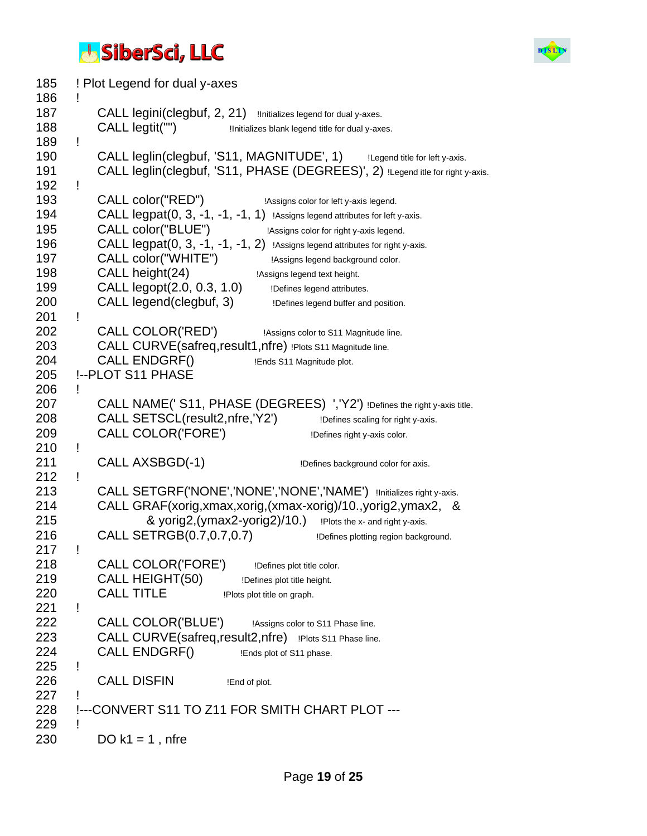

185 ! Plot Legend for dual y-axes 186 ! 187 CALL legini(clegbuf, 2, 21) Initializes legend for dual y-axes. 188 CALL legtit("") !Initializes blank legend title for dual y-axes. 189 ! 190 CALL leglin(clegbuf, 'S11, MAGNITUDE', 1) ILegend title for left y-axis. 191 CALL leglin(clegbuf, 'S11, PHASE (DEGREES)', 2) ILegend itle for right y-axis. 192 ! 193 CALL color("RED") [Assigns color for left y-axis legend. 194 CALL legpat(0, 3, -1, -1, -1, 1) !Assigns legend attributes for left y-axis. 195 CALL color("BLUE") **IAssigns color for right y-axis legend.** 196 CALL legpat(0, 3, -1, -1, -1, 2) !Assigns legend attributes for right y-axis. 197 CALL color("WHITE") [Assigns legend background color. 198 CALL height(24) **IASS** Equator 198 199 CALL legopt(2.0, 0.3, 1.0) Defines legend attributes. 200 CALL legend(clegbuf, 3) Defines legend buffer and position. 201 ! 202 CALL COLOR('RED') [Assigns color to S11 Magnitude line. 203 CALL CURVE(safreq,result1,nfre) !Plots S11 Magnitude line. 204 CALL ENDGRF() **IEnds S11 Magnitude plot.** 205 !--PLOT S11 PHASE 206 ! 207 CALL NAME(' S11, PHASE (DEGREES) ','Y2') !Defines the right y-axis title. 208 CALL SETSCL(result2,nfre,'Y2') **Defines scaling for right y-axis.** 209 CALL COLOR('FORE') **Defines right y-axis color.** 210 ! 211 CALL AXSBGD(-1) Defines background color for axis. 212 ! 213 CALL SETGRF('NONE','NONE','NONE','NAME') !Initializes right y-axis. 214 CALL GRAF(xorig,xmax,xorig,(xmax-xorig)/10.,yorig2,ymax2, & 215 & yorig2,(ymax2-yorig2)/10.) !Plots the x- and right y-axis. 216 CALL SETRGB(0.7,0.7,0.7) **IDefines plotting region background.** 217 ! 218 CALL COLOR('FORE') !Defines plot title color. 219 CALL HEIGHT(50) Defines plot title height. 220 CALL TITLE !Plots plot title on graph. 221 ! 222 CALL COLOR('BLUE') !Assigns color to S11 Phase line. 223 CALL CURVE(safreq, result2, nfre) !Plots S11 Phase line. 224 CALL ENDGRF() **IEnds plot of S11 phase.** 225 ! 226 CALL DISFIN !End of plot. 227 ! 228 !---CONVERT S11 TO Z11 FOR SMITH CHART PLOT --- 229 ! 230  $DO k1 = 1$ , nfre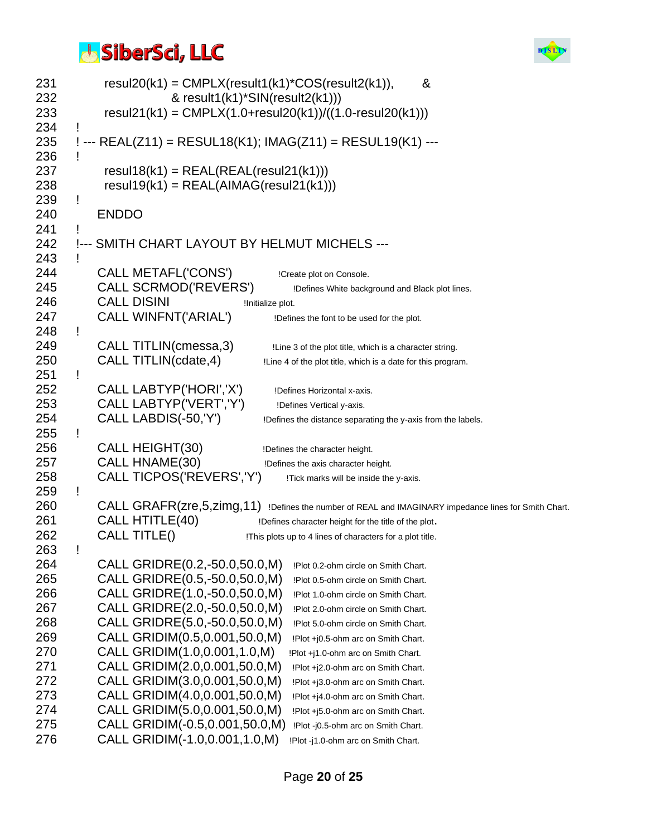

| 231        | $result20(k1) = CMPLX(result1(k1)*COS(result2(k1)),$<br>&                                               |
|------------|---------------------------------------------------------------------------------------------------------|
| 232<br>233 | & result1(k1)*SIN(result2(k1)))<br>resul21(k1) = $CMPLX(1.0+result20(k1))/((1.0-result20(k1)))$         |
| 234        |                                                                                                         |
| 235<br>236 | ! --- REAL(Z11) = RESUL18(K1); IMAG(Z11) = RESUL19(K1) ---                                              |
| 237        | $result18(k1) = REAL(REAL(resul21(k1)))$                                                                |
| 238        | $result19(k1) = REAL(AIMAG(resul21(k1)))$                                                               |
| 239        |                                                                                                         |
| 240        | <b>ENDDO</b>                                                                                            |
| 241        |                                                                                                         |
| 242        | !--- SMITH CHART LAYOUT BY HELMUT MICHELS ---                                                           |
| 243        |                                                                                                         |
| 244        | CALL METAFL('CONS')<br>!Create plot on Console.                                                         |
| 245        | <b>CALL SCRMOD('REVERS')</b><br>!Defines White background and Black plot lines.                         |
| 246        | <b>CALL DISINI</b><br>!Initialize plot.                                                                 |
| 247        | CALL WINFNT('ARIAL')<br>!Defines the font to be used for the plot.                                      |
| 248        | Ţ                                                                                                       |
| 249        | CALL TITLIN(cmessa, 3)<br>!Line 3 of the plot title, which is a character string.                       |
| 250        | CALL TITLIN(cdate, 4)<br>!Line 4 of the plot title, which is a date for this program.                   |
| 251        | Ţ                                                                                                       |
| 252        | CALL LABTYP('HORI','X')<br>!Defines Horizontal x-axis.                                                  |
| 253        | CALL LABTYP('VERT','Y')<br>!Defines Vertical y-axis.                                                    |
| 254        | CALL LABDIS(-50, 'Y')<br>!Defines the distance separating the y-axis from the labels.                   |
| 255        | Ţ                                                                                                       |
| 256        | CALL HEIGHT(30)<br>!Defines the character height.                                                       |
| 257        | CALL HNAME(30)<br>!Defines the axis character height.                                                   |
| 258        | CALL TICPOS('REVERS','Y')<br>!Tick marks will be inside the y-axis.                                     |
| 259        | Ţ                                                                                                       |
| 260        | CALL GRAFR(zre, 5, zimg, 11) !Defines the number of REAL and IMAGINARY impedance lines for Smith Chart. |
| 261        | <b>CALL HTITLE(40)</b><br>!Defines character height for the title of the plot.                          |
| 262        | CALL TITLE()<br>!This plots up to 4 lines of characters for a plot title.                               |
| 263        | Ţ                                                                                                       |
| 264        | CALL GRIDRE(0.2,-50.0,50.0,M)<br>!Plot 0.2-ohm circle on Smith Chart.                                   |
| 265        | CALL GRIDRE(0.5,-50.0,50.0,M)<br>!Plot 0.5-ohm circle on Smith Chart.                                   |
| 266        | CALL GRIDRE(1.0,-50.0,50.0,M)<br>!Plot 1.0-ohm circle on Smith Chart.                                   |
| 267        | CALL GRIDRE(2.0,-50.0,50.0,M)<br>!Plot 2.0-ohm circle on Smith Chart.                                   |
| 268        | CALL GRIDRE(5.0,-50.0,50.0,M)<br>!Plot 5.0-ohm circle on Smith Chart.                                   |
| 269        | CALL GRIDIM(0.5,0.001,50.0,M)<br>!Plot +j0.5-ohm arc on Smith Chart.                                    |
| 270        | CALL GRIDIM(1.0,0.001,1.0,M)<br>!Plot +j1.0-ohm arc on Smith Chart.                                     |
| 271        | CALL GRIDIM(2.0,0.001,50.0,M)<br>!Plot +j2.0-ohm arc on Smith Chart.                                    |
| 272        | CALL GRIDIM(3.0,0.001,50.0,M)<br>!Plot +j3.0-ohm arc on Smith Chart.                                    |
| 273        | CALL GRIDIM(4.0,0.001,50.0,M)<br>!Plot +j4.0-ohm arc on Smith Chart.                                    |
| 274        | CALL GRIDIM(5.0,0.001,50.0,M)<br>!Plot +j5.0-ohm arc on Smith Chart.                                    |
| 275        | CALL GRIDIM(-0.5,0.001,50.0,M)<br>!Plot -j0.5-ohm arc on Smith Chart.                                   |
| 276        | CALL GRIDIM(-1.0,0.001,1.0,M)<br>!Plot -j1.0-ohm arc on Smith Chart.                                    |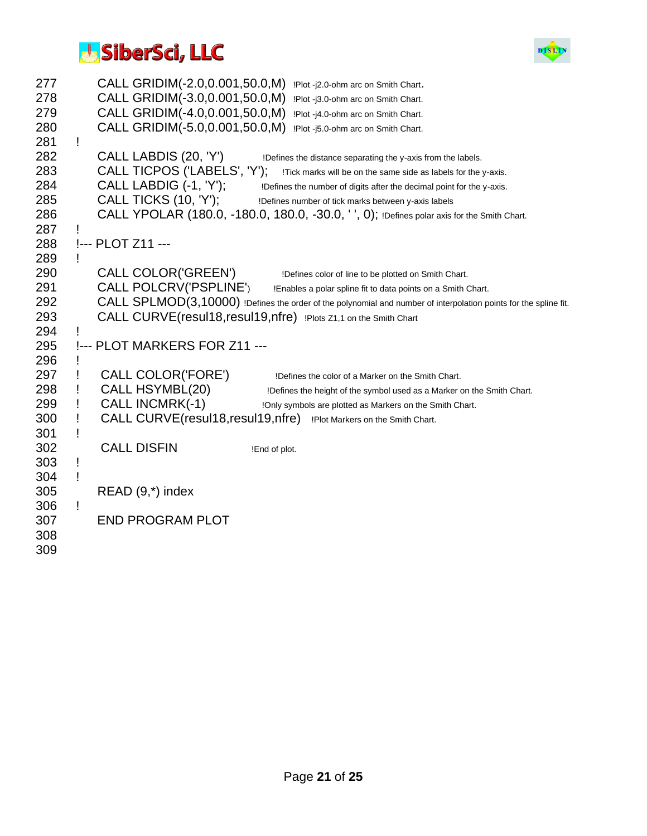

| 277 |           |                   | CALL GRIDIM(-2.0,0.001,50.0,M) | !Plot -j2.0-ohm arc on Smith Chart.                                                                              |
|-----|-----------|-------------------|--------------------------------|------------------------------------------------------------------------------------------------------------------|
| 278 |           |                   | CALL GRIDIM(-3.0,0.001,50.0,M) | !Plot -j3.0-ohm arc on Smith Chart.                                                                              |
| 279 |           |                   | CALL GRIDIM(-4.0,0.001,50.0,M) | !Plot -j4.0-ohm arc on Smith Chart.                                                                              |
| 280 |           |                   | CALL GRIDIM(-5.0,0.001,50.0,M) | !Plot -j5.0-ohm arc on Smith Chart.                                                                              |
| 281 | Ţ         |                   |                                |                                                                                                                  |
| 282 |           |                   | CALL LABDIS (20, 'Y')          | !Defines the distance separating the y-axis from the labels.                                                     |
| 283 |           |                   | CALL TICPOS ('LABELS', 'Y');   | !Tick marks will be on the same side as labels for the y-axis.                                                   |
| 284 |           |                   | CALL LABDIG (-1, 'Y');         | !Defines the number of digits after the decimal point for the y-axis.                                            |
| 285 |           |                   | <b>CALL TICKS (10, 'Y');</b>   | !Defines number of tick marks between y-axis labels                                                              |
| 286 |           |                   |                                | CALL YPOLAR (180.0, -180.0, 180.0, -30.0, '', 0); !Defines polar axis for the Smith Chart.                       |
| 287 |           |                   |                                |                                                                                                                  |
| 288 |           | !--- PLOT Z11 --- |                                |                                                                                                                  |
| 289 | Ţ         |                   |                                |                                                                                                                  |
| 290 |           |                   | CALL COLOR('GREEN')            | !Defines color of line to be plotted on Smith Chart.                                                             |
| 291 |           |                   | CALL POLCRV('PSPLINE')         | !Enables a polar spline fit to data points on a Smith Chart.                                                     |
| 292 |           |                   |                                | CALL SPLMOD(3,10000) !Defines the order of the polynomial and number of interpolation points for the spline fit. |
| 293 |           |                   |                                | CALL CURVE(resul18, resul19, nfre) !Plots Z1,1 on the Smith Chart                                                |
| 294 |           |                   |                                |                                                                                                                  |
| 295 | $1 - - -$ |                   | PLOT MARKERS FOR Z11 ---       |                                                                                                                  |
| 296 |           |                   |                                |                                                                                                                  |
| 297 |           |                   | CALL COLOR('FORE')             | !Defines the color of a Marker on the Smith Chart.                                                               |
| 298 |           |                   | CALL HSYMBL(20)                | !Defines the height of the symbol used as a Marker on the Smith Chart.                                           |
| 299 |           |                   | <b>CALL INCMRK(-1)</b>         | !Only symbols are plotted as Markers on the Smith Chart.                                                         |
| 300 |           |                   |                                | CALL CURVE(resul18, resul19, nfre) !Plot Markers on the Smith Chart.                                             |
| 301 |           |                   |                                |                                                                                                                  |
| 302 |           |                   | <b>CALL DISFIN</b>             | !End of plot.                                                                                                    |
| 303 | Ţ         |                   |                                |                                                                                                                  |
| 304 | Ţ         |                   |                                |                                                                                                                  |
| 305 |           |                   | $READ(9,*)$ index              |                                                                                                                  |
| 306 | Ţ         |                   |                                |                                                                                                                  |
| 307 |           |                   | <b>END PROGRAM PLOT</b>        |                                                                                                                  |
| 308 |           |                   |                                |                                                                                                                  |
| 309 |           |                   |                                |                                                                                                                  |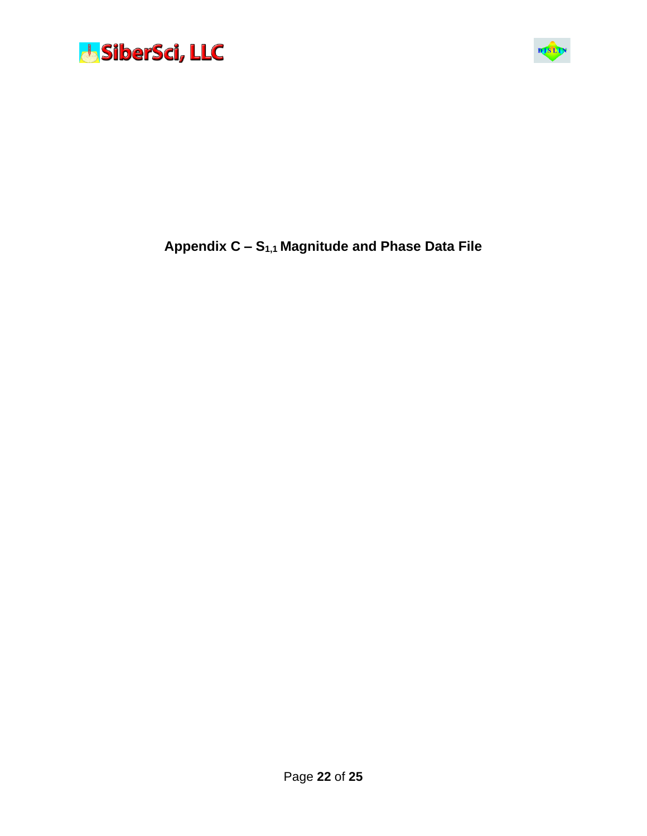



#### **Appendix C – S1,1 Magnitude and Phase Data File**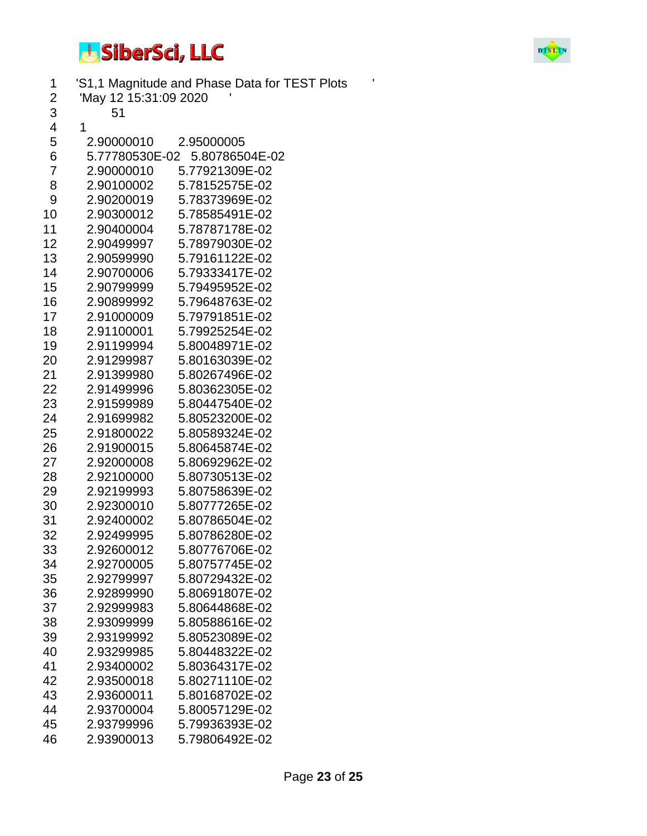

| 1              |                       | 'S1,1 Magnitude and Phase Data for TEST Plots | ۱ |
|----------------|-----------------------|-----------------------------------------------|---|
| 2              | 'May 12 15:31:09 2020 |                                               |   |
| 3              | 51                    |                                               |   |
| 4              | 1                     |                                               |   |
| 5              | 2.90000010            | 2.95000005                                    |   |
| 6              | 5.77780530E-02        | 5.80786504E-02                                |   |
| $\overline{7}$ | 2.90000010            | 5.77921309E-02                                |   |
| 8              | 2.90100002            | 5.78152575E-02                                |   |
| 9              | 2.90200019            | 5.78373969E-02                                |   |
| 10             | 2.90300012            | 5.78585491E-02                                |   |
| 11             | 2.90400004            | 5.78787178E-02                                |   |
| 12             | 2.90499997            | 5.78979030E-02                                |   |
| 13             | 2.90599990            | 5.79161122E-02                                |   |
| 14             | 2.90700006            | 5.79333417E-02                                |   |
| 15             | 2.90799999            | 5.79495952E-02                                |   |
| 16             | 2.90899992            | 5.79648763E-02                                |   |
| 17             | 2.91000009            | 5.79791851E-02                                |   |
| 18             | 2.91100001            | 5.79925254E-02                                |   |
| 19             | 2.91199994            | 5.80048971E-02                                |   |
| 20             | 2.91299987            | 5.80163039E-02                                |   |
| 21             | 2.91399980            | 5.80267496E-02                                |   |
| 22             | 2.91499996            | 5.80362305E-02                                |   |
| 23             | 2.91599989            | 5.80447540E-02                                |   |
| 24             | 2.91699982            | 5.80523200E-02                                |   |
| 25             | 2.91800022            | 5.80589324E-02                                |   |
| 26             | 2.91900015            | 5.80645874E-02                                |   |
| 27             | 2.92000008            | 5.80692962E-02                                |   |
| 28             | 2.92100000            | 5.80730513E-02                                |   |
| 29             | 2.92199993            | 5.80758639E-02                                |   |
| 30             | 2.92300010            | 5.80777265E-02                                |   |
| 31             | 2.92400002            | 5.80786504E-02                                |   |
| 32             | 2.92499995            | 5.80786280E-02                                |   |
| 33             | 2.92600012            | 5.80776706E-02                                |   |
| 34             | 2.92700005            | 5.80757745E-02                                |   |
| 35             | 2.92799997            | 5.80729432E-02                                |   |
| 36             | 2.92899990            | 5.80691807E-02                                |   |
| 37             | 2.92999983            | 5.80644868E-02                                |   |
| 38             | 2.93099999            | 5.80588616E-02                                |   |
| 39             | 2.93199992            | 5.80523089E-02                                |   |
| 40             | 2.93299985            | 5.80448322E-02                                |   |
| 41             | 2.93400002            | 5.80364317E-02                                |   |
| 42             | 2.93500018            | 5.80271110E-02                                |   |
| 43             | 2.93600011            | 5.80168702E-02                                |   |
| 44             | 2.93700004            | 5.80057129E-02                                |   |
| 45             | 2.93799996            | 5.79936393E-02                                |   |
| 46             | 2.93900013            | 5.79806492E-02                                |   |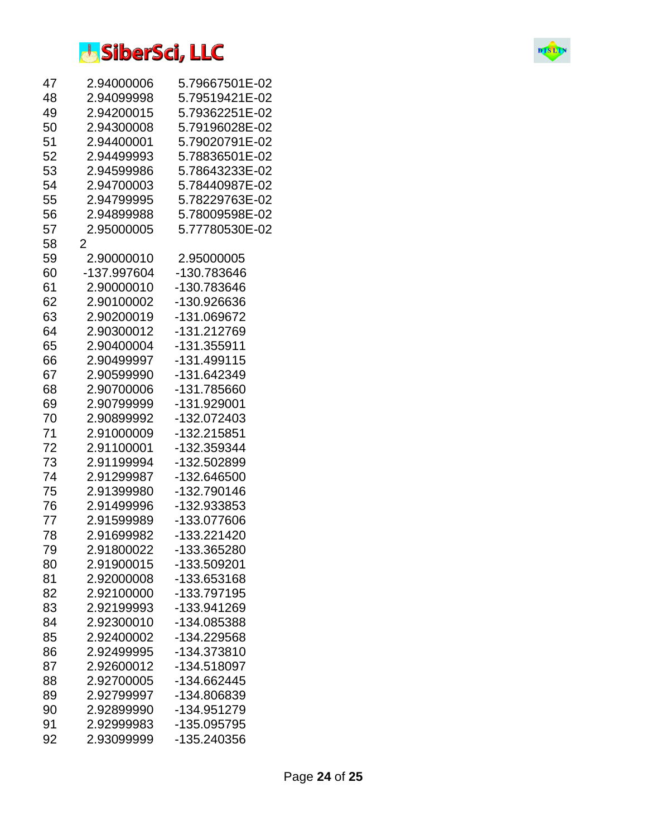| 47 | 2.94000006  | 5.79667501E-02 |
|----|-------------|----------------|
| 48 | 2.94099998  | 5.79519421E-02 |
| 49 | 2.94200015  | 5.79362251E-02 |
| 50 | 2.94300008  | 5.79196028E-02 |
| 51 | 2.94400001  | 5.79020791E-02 |
| 52 | 2.94499993  | 5.78836501E-02 |
| 53 | 2.94599986  | 5.78643233E-02 |
| 54 | 2.94700003  | 5.78440987E-02 |
| 55 | 2.94799995  | 5.78229763E-02 |
| 56 | 2.94899988  | 5.78009598E-02 |
| 57 | 2.95000005  | 5.77780530E-02 |
| 58 | 2           |                |
| 59 | 2.90000010  | 2.95000005     |
| 60 | -137.997604 | -130.783646    |
| 61 | 2.90000010  | -130.783646    |
| 62 | 2.90100002  | -130.926636    |
| 63 | 2.90200019  | -131.069672    |
| 64 | 2.90300012  | -131.212769    |
| 65 | 2.90400004  | -131.355911    |
| 66 | 2.90499997  | -131.499115    |
| 67 | 2.90599990  | -131.642349    |
| 68 | 2.90700006  | -131.785660    |
| 69 | 2.90799999  | -131.929001    |
| 70 | 2.90899992  | -132.072403    |
| 71 | 2.91000009  | -132.215851    |
| 72 | 2.91100001  | -132.359344    |
| 73 | 2.91199994  | -132.502899    |
| 74 | 2.91299987  | -132.646500    |
| 75 | 2.91399980  | -132.790146    |
| 76 | 2.91499996  | -132.933853    |
| 77 | 2.91599989  | -133.077606    |
| 78 | 2.91699982  | -133.221420    |
| 79 | 2.91800022  | -133.365280    |
| 80 | 2.91900015  | -133.509201    |
| 81 | 2.92000008  | -133.653168    |
| 82 | 2.92100000  | -133.797195    |
| 83 | 2.92199993  | -133.941269    |
| 84 | 2.92300010  | -134.085388    |
| 85 | 2.92400002  | -134.229568    |
| 86 | 2.92499995  | -134.373810    |
| 87 | 2.92600012  | -134.518097    |
| 88 | 2.92700005  | -134.662445    |
| 89 | 2.92799997  | -134.806839    |
| 90 | 2.92899990  | -134.951279    |
| 91 | 2.92999983  | -135.095795    |
|    |             |                |
| 92 | 2.93099999  | -135.240356    |